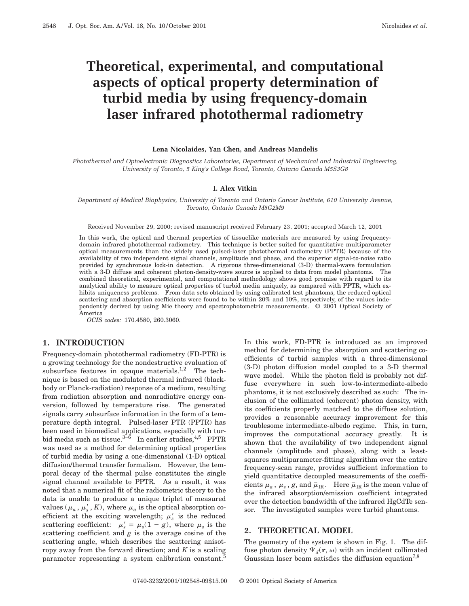# **Theoretical, experimental, and computational aspects of optical property determination of turbid media by using frequency-domain laser infrared photothermal radiometry**

#### **Lena Nicolaides, Yan Chen, and Andreas Mandelis**

*Photothermal and Optoelectronic Diagnostics Laboratories, Department of Mechanical and Industrial Engineering, University of Toronto, 5 King's College Road, Toronto, Ontario Canada M5S3G8*

## **I. Alex Vitkin**

*Department of Medical Biophysics, University of Toronto and Ontario Cancer Institute, 610 University Avenue, Toronto, Ontario Canada M5G2M9*

Received November 29, 2000; revised manuscript received February 23, 2001; accepted March 12, 2001

In this work, the optical and thermal properties of tissuelike materials are measured by using frequencydomain infrared photothermal radiometry. This technique is better suited for quantitative multiparameter optical measurements than the widely used pulsed-laser photothermal radiometry (PPTR) because of the availability of two independent signal channels, amplitude and phase, and the superior signal-to-noise ratio provided by synchronous lock-in detection. A rigorous three-dimensional (3-D) thermal-wave formulation with a 3-D diffuse and coherent photon-density-wave source is applied to data from model phantoms. The combined theoretical, experimental, and computational methodology shows good promise with regard to its analytical ability to measure optical properties of turbid media uniquely, as compared with PPTR, which exhibits uniqueness problems. From data sets obtained by using calibrated test phantoms, the reduced optical scattering and absorption coefficients were found to be within 20% and 10%, respectively, of the values independently derived by using Mie theory and spectrophotometric measurements. © 2001 Optical Society of America

*OCIS codes:* 170.4580, 260.3060.

## **1. INTRODUCTION**

Frequency-domain photothermal radiometry (FD-PTR) is a growing technology for the nondestructive evaluation of subsurface features in opaque materials.<sup>1,2</sup> The technique is based on the modulated thermal infrared (blackbody or Planck-radiation) response of a medium, resulting from radiation absorption and nonradiative energy conversion, followed by temperature rise. The generated signals carry subsurface information in the form of a temperature depth integral. Pulsed-laser PTR (PPTR) has been used in biomedical applications, especially with turbid media such as tissue.<sup>3–6</sup> In earlier studies,<sup>4,5</sup> PPTR was used as a method for determining optical properties of turbid media by using a one-dimensional (1-D) optical diffusion/thermal transfer formalism. However, the temporal decay of the thermal pulse constitutes the single signal channel available to PPTR. As a result, it was noted that a numerical fit of the radiometric theory to the data is unable to produce a unique triplet of measured values  $(\mu_a, \mu_s', K)$ , where  $\mu_a$  is the optical absorption coefficient at the exciting wavelength;  $\mu_s'$  is the reduced scattering coefficient:  $\mu'_s = \mu_s(1 - g)$ , where  $\mu_s$  is the scattering coefficient and *g* is the average cosine of the scattering angle, which describes the scattering anisotropy away from the forward direction; and *K* is a scaling parameter representing a system calibration constant.<sup>5</sup>

In this work, FD-PTR is introduced as an improved method for determining the absorption and scattering coefficients of turbid samples with a three-dimensional (3-D) photon diffusion model coupled to a 3-D thermal wave model. While the photon field is probably not diffuse everywhere in such low-to-intermediate-albedo phantoms, it is not exclusively described as such: The inclusion of the collimated (coherent) photon density, with its coefficients properly matched to the diffuse solution, provides a reasonable accuracy improvement for this troublesome intermediate-albedo regime. This, in turn, improves the computational accuracy greatly. It is shown that the availability of two independent signal channels (amplitude and phase), along with a leastsquares multiparameter-fitting algorithm over the entire frequency-scan range, provides sufficient information to yield quantitative decoupled measurements of the coefficients  $\mu_a$ ,  $\mu_s$ , *g*, and  $\bar{\mu}_{IR}$ . Here  $\bar{\mu}_{IR}$  is the mean value of the infrared absorption/emission coefficient integrated over the detection bandwidth of the infrared HgCdTe sensor. The investigated samples were turbid phantoms.

## **2. THEORETICAL MODEL**

The geometry of the system is shown in Fig. 1. The diffuse photon density  $\Psi_d(\mathbf{r}, \omega)$  with an incident collimated Gaussian laser beam satisfies the diffusion equation<sup>7,8</sup>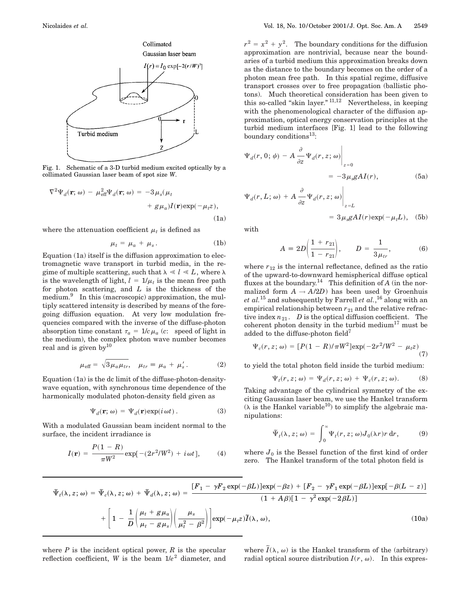

Fig. 1. Schematic of a 3-D turbid medium excited optically by a collimated Gaussian laser beam of spot size *W*.

$$
\nabla^2 \Psi_d(\mathbf{r}; \omega) - \mu_{\text{eff}}^2 \Psi_d(\mathbf{r}; \omega) = -3 \mu_s(\mu_t + g \mu_a) I(\mathbf{r}) \exp(-\mu_t z),
$$
\n(1a)

where the attenuation coefficient  $\mu_t$  is defined as

$$
\mu_t = \mu_a + \mu_s. \tag{1b}
$$

Equation (1a) itself is the diffusion approximation to electromagnetic wave transport in turbid media, in the regime of multiple scattering, such that  $\lambda \ll l \ll L$ , where  $\lambda$ is the wavelength of light,  $l = 1/\mu_t$  is the mean free path for photon scattering, and *L* is the thickness of the medium.<sup>9</sup> In this (macroscopic) approximation, the multiply scattered intensity is described by means of the foregoing diffusion equation. At very low modulation frequencies compared with the inverse of the diffuse-photon absorption time constant  $\tau_a = 1/c \mu_a$  (*c*: speed of light in the medium), the complex photon wave number becomes real and is given  $by<sup>10</sup>$ 

$$
\mu_{\text{eff}} = \sqrt{3 \mu_a \mu_{tr}}, \quad \mu_{tr} \equiv \mu_a + \mu_s' \,. \tag{2}
$$

Equation (1a) is the dc limit of the diffuse-photon-densitywave equation, with synchronous time dependence of the harmonically modulated photon-density field given as

$$
\Psi_d(\mathbf{r};\,\omega) = \Psi_d(\mathbf{r}) \exp(i\,\omega t) \,. \tag{3}
$$

With a modulated Gaussian beam incident normal to the surface, the incident irradiance is

$$
I(\mathbf{r}) = \frac{P(1 - R)}{\pi W^2} \exp[-(2r^2/W^2) + i\,\omega t],\tag{4}
$$

 $r^2 = x^2 + y^2$ . The boundary conditions for the diffusion approximation are nontrivial, because near the boundaries of a turbid medium this approximation breaks down as the distance to the boundary becomes on the order of a photon mean free path. In this spatial regime, diffusive transport crosses over to free propagation (ballistic photons). Much theoretical consideration has been given to this so-called "skin layer."  $^{11,12}$  Nevertheless, in keeping with the phenomenological character of the diffusion approximation, optical energy conservation principles at the turbid medium interfaces [Fig. 1] lead to the following boundary conditions<sup>13</sup>:

$$
\Psi_d(r, 0; \psi) - A \frac{\partial}{\partial z} \Psi_d(r, z; \omega) \Big|_{z=0}
$$
  
= -3 \mu\_s g A I(r), \t(5a)

$$
\Psi_d(r, L; \omega) + A \frac{\partial}{\partial z} \Psi_d(r, z; \omega) \Big|_{z=L}
$$
  
=  $3 \mu_s g A I(r) \exp(-\mu_t L)$ , (5b)

with

$$
A = 2D\left(\frac{1 + r_{21}}{1 - r_{21}}\right), \qquad D = \frac{1}{3\mu_{tr}}, \tag{6}
$$

where  $r_{12}$  is the internal reflectance, defined as the ratio of the upward-to-downward hemispherical diffuse optical fluxes at the boundary.14 This definition of *A* (in the normalized form  $A \rightarrow A/2D$ ) has been used by Groenhuis *et al.*<sup>15</sup> and subsequently by Farrell *et al.*, <sup>16</sup> along with an empirical relationship between  $r_{21}$  and the relative refractive index  $n_{21}$ . *D* is the optical diffusion coefficient. The coherent photon density in the turbid medium<sup>17</sup> must be added to the diffuse-photon field<sup>7</sup>

$$
\Psi_c(r, z; \omega) = [P(1 - R)/\pi W^2] \exp(-2r^2/W^2 - \mu_t z)
$$
\n(7)

to yield the total photon field inside the turbid medium:

$$
\Psi_t(r, z; \omega) = \Psi_d(r, z; \omega) + \Psi_c(r, z; \omega). \tag{8}
$$

Taking advantage of the cylindrical symmetry of the exciting Gaussian laser beam, we use the Hankel transform  $(\lambda$  is the Hankel variable<sup>10</sup>) to simplify the algebraic manipulations:

$$
\tilde{\Psi}_t(\lambda, z; \omega) = \int_0^\infty \Psi_t(r, z; \omega) J_0(\lambda r) r \, dr,
$$
 (9)

where  $J_0$  is the Bessel function of the first kind of order zero. The Hankel transform of the total photon field is

$$
\tilde{\Psi}_{t}(\lambda, z; \omega) = \tilde{\Psi}_{c}(\lambda, z; \omega) + \tilde{\Psi}_{d}(\lambda, z; \omega) = \frac{[F_{1} - \gamma F_{2} \exp(-\beta L)] \exp(-\beta z) + [F_{2} - \gamma F_{1} \exp(-\beta L)] \exp[-\beta (L - z)]}{(1 + A\beta)[1 - \gamma^{2} \exp(-2\beta L)]}
$$
\n
$$
+ \left[1 - \frac{1}{D} \left(\frac{\mu_{t} + g\mu_{a}}{\mu_{t} - g\mu_{s}}\right) \left(\frac{\mu_{s}}{\mu_{t}^{2} - \beta^{2}}\right)\right] \exp(-\mu_{t} z) \tilde{I}(\lambda, \omega), \qquad (10a)
$$

where  $P$  is the incident optical power,  $R$  is the specular reflection coefficient, *W* is the beam  $1/e^2$  diameter, and

where  $\tilde{I}(\lambda, \omega)$  is the Hankel transform of the (arbitrary) radial optical source distribution  $I(r, \omega)$ . In this expres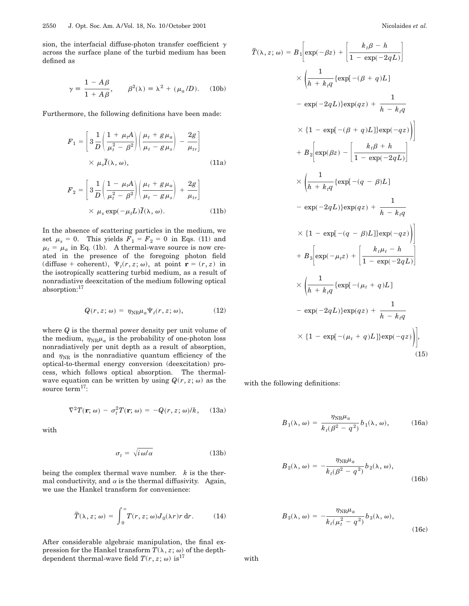sion, the interfacial diffuse-photon transfer coefficient  $\gamma$ across the surface plane of the turbid medium has been defined as

$$
\gamma = \frac{1 - A\beta}{1 + A\beta}, \qquad \beta^2(\lambda) = \lambda^2 + (\mu_a/D). \quad (10b)
$$

Furthermore, the following definitions have been made:

$$
F_1 = \left[3\frac{1}{D}\left(\frac{1+\mu_t A}{\mu_t^2 - \beta^2}\right)\left(\frac{\mu_t + g\mu_a}{\mu_t - g\mu_s}\right) - \frac{2g}{\mu_{tr}}\right]
$$
  
×  $\mu_s \tilde{I}(\lambda, \omega),$  (11a)

$$
F_2 = \left[3\frac{1}{D}\left(\frac{1-\mu_t A}{\mu_t^2 - \beta^2}\right)\left(\frac{\mu_t + g\mu_a}{\mu_t - g\mu_s}\right) + \frac{2g}{\mu_{tr}}\right]
$$

$$
\times \mu_s \exp(-\mu_t L)\tilde{I}(\lambda, \omega).
$$
 (11b)

In the absence of scattering particles in the medium, we set  $\mu_s = 0$ . This yields  $F_1 = F_2 = 0$  in Eqs. (11) and  $\mu_t = \mu_a$  in Eq. (1b). A thermal-wave source is now created in the presence of the foregoing photon field (diffuse + coherent),  $\Psi_t(r, z; \omega)$ , at point  $\mathbf{r} = (r, z)$  in the isotropically scattering turbid medium, as a result of nonradiative deexcitation of the medium following optical absorption:17

$$
Q(r, z; \omega) = \eta_{\text{NR}} \mu_a \Psi_t(r, z; \omega), \tag{12}
$$

where *Q* is the thermal power density per unit volume of the medium,  $\eta_{\text{NR}}\mu_a$  is the probability of one-photon loss nonradiatively per unit depth as a result of absorption, and  $\eta_{\rm NR}$  is the nonradiative quantum efficiency of the optical-to-thermal energy conversion (deexcitation) process, which follows optical absorption. The thermalwave equation can be written by using  $Q(r, z; \omega)$  as the source term<sup>17</sup>:

$$
\nabla^2 T(\mathbf{r}; \omega) - \sigma_t^2 T(\mathbf{r}; \omega) = -Q(r, z; \omega)/k, \quad (13a)
$$

with

$$
\sigma_t = \sqrt{i \omega/\alpha} \tag{13b}
$$

being the complex thermal wave number. *k* is the thermal conductivity, and  $\alpha$  is the thermal diffusivity. Again, we use the Hankel transform for convenience:

$$
\widetilde{T}(\lambda, z; \omega) = \int_0^\infty T(r, z; \omega) J_0(\lambda r) r \, dr. \tag{14}
$$

After considerable algebraic manipulation, the final expression for the Hankel transform  $T(\lambda, z; \omega)$  of the depthdependent thermal-wave field  $T(r, z; \omega)$  is<sup>17</sup>

$$
\tilde{T}(\lambda, z; \omega) = B_1 \left[ \exp(-\beta z) + \left[ \frac{k_t \beta - h}{1 - \exp(-2qL)} \right] \right]
$$
\n
$$
\times \left( \frac{1}{h + k_t q} \{ \exp[-(\beta + q)L] - \exp(-2qL) \} \exp(qz) + \frac{1}{h - k_t q} \right]
$$
\n
$$
\times \{ 1 - \exp[-(\beta + q)L] \} \exp(-qz) \right)
$$
\n
$$
+ B_2 \left[ \exp(\beta z) - \left[ \frac{k_t \beta + h}{1 - \exp(-2qL)} \right] \right]
$$
\n
$$
\times \left( \frac{1}{h + k_t q} \{ \exp[-(q - \beta)L] - \exp(-2qL) \} \exp(qz) + \frac{1}{h - k_t q} \right)
$$
\n
$$
\times \{ 1 - \exp[-(q - \beta)L] \} \exp(-qz) \right)
$$
\n
$$
+ B_3 \left[ \exp(-\mu_t z) + \left[ \frac{k_t \mu_t - h}{1 - \exp(-2qL)} \right] \right]
$$
\n
$$
\times \left( \frac{1}{h + k_t q} \{ \exp[-(\mu_t + q)L] - \exp(-2qL) \} \right)
$$
\n
$$
- \exp(-2qL) \} \exp(qz) + \frac{1}{h - k_t q} \times \{ 1 - \exp[-(\mu_t + q)L] \} \exp(-qz) \right)
$$
\n(15)

with the following definitions:

$$
B_1(\lambda, \omega) = \frac{\eta_{\rm NR}\mu_a}{k_t(\beta^2 - q^2)} b_1(\lambda, \omega), \quad (16a)
$$

$$
B_2(\lambda, \omega) = -\frac{\eta_{\text{NR}}\mu_a}{k_t(\beta^2 - q^2)} b_2(\lambda, \omega),
$$
\n(16b)

$$
B_3(\lambda, \omega) = -\frac{\eta_{\text{NR}}\mu_a}{k_t(\mu_t^2 - q^2)} b_3(\lambda, \omega),
$$
\n(16c)

with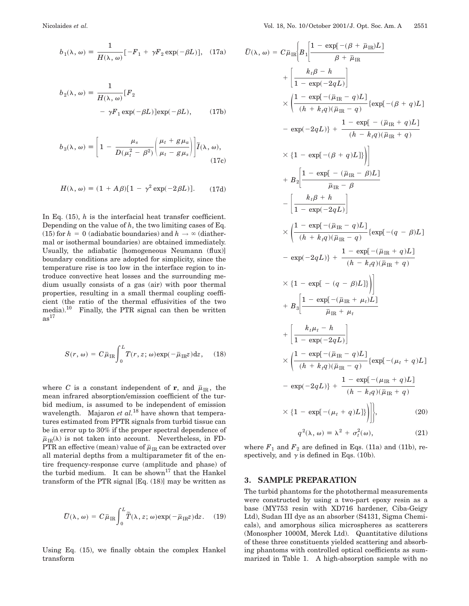$$
b_1(\lambda, \omega) = \frac{1}{H(\lambda, \omega)} [-F_1 + \gamma F_2 \exp(-\beta L)], \quad (17a)
$$

$$
b_2(\lambda, \omega) = \frac{1}{H(\lambda, \omega)} [F_2
$$
  
-  $\gamma F_1 \exp(-\beta L)] \exp(-\beta L),$  (17b)

$$
b_3(\lambda, \omega) \equiv \left[1 - \frac{\mu_s}{D(\mu_t^2 - \beta^2)} \left(\frac{\mu_t + g\mu_a}{\mu_t - g\mu_s}\right)\right] \tilde{I}(\lambda, \omega), \tag{17c}
$$

$$
H(\lambda, \omega) = (1 + A\beta)[1 - \gamma^2 \exp(-2\beta L)].
$$
 (17d)

In Eq. (15), *h* is the interfacial heat transfer coefficient. Depending on the value of *h*, the two limiting cases of Eq. (15) for  $h = 0$  (adiabatic boundaries) and  $h \to \infty$  (diathermal or isothermal boundaries) are obtained immediately. Usually, the adiabatic [homogeneous Neumann (flux)] boundary conditions are adopted for simplicity, since the temperature rise is too low in the interface region to introduce convective heat losses and the surrounding medium usually consists of a gas (air) with poor thermal properties, resulting in a small thermal coupling coefficient (the ratio of the thermal effusivities of the two media).10 Finally, the PTR signal can then be written  $as<sup>17</sup>$ 

$$
S(r, \omega) = C \bar{\mu}_{IR} \int_0^L T(r, z; \omega) \exp(-\bar{\mu}_{IR} z) dz, \quad (18)
$$

where *C* is a constant independent of **r**, and  $\bar{\mu}_{IR}$ , the mean infrared absorption/emission coefficient of the turbid medium, is assumed to be independent of emission wavelength. Majaron *et al.*<sup>18</sup> have shown that temperatures estimated from PPTR signals from turbid tissue can be in error up to 30% if the proper spectral dependence of  $\bar{\mu}_{IR}(\lambda)$  is not taken into account. Nevertheless, in FD-PTR an effective (mean) value of  $\bar{\mu}_{\rm IR}$  can be extracted over all material depths from a multiparameter fit of the entire frequency-response curve (amplitude and phase) of the turbid medium. It can be shown<sup>17</sup> that the Hankel transform of the PTR signal  $[Eq. (18)]$  may be written as

$$
\tilde{U}(\lambda, \omega) = C \bar{\mu}_{IR} \int_0^L \tilde{T}(\lambda, z; \omega) \exp(-\bar{\mu}_{IR} z) dz.
$$
 (19)

Using Eq. (15), we finally obtain the complex Hankel transform

$$
\tilde{U}(\lambda, \omega) = C \bar{\mu}_{IR} \left[ B_1 \left[ \frac{1 - \exp[-(\beta + \bar{\mu}_{IR})L]}{\beta + \bar{\mu}_{IR}} \right] \right.
$$
\n
$$
+ \left[ \frac{k_t \beta - h}{1 - \exp(-2qL)} \right]
$$
\n
$$
\times \left( \frac{1 - \exp[-(\bar{\mu}_{IR} - q)L]}{(h + k_t q)(\bar{\mu}_{IR} - q)} \left\{ \exp[-(\beta + q)L \right\} \right]
$$
\n
$$
- \exp(-2qL) \right] + \frac{1 - \exp[-(\bar{\mu}_{IR} + q)L]}{(h - k_t q)(\bar{\mu}_{IR} + q)}
$$
\n
$$
\times \left\{ 1 - \exp[-(\beta + q)L] \right) \right]
$$
\n
$$
+ B_2 \left[ \frac{1 - \exp[-(\bar{\mu}_{IR} - \beta)L]}{\bar{\mu}_{IR} - \beta} \right]
$$
\n
$$
- \left[ \frac{k_t \beta + h}{1 - \exp(-2qL)} \right]
$$
\n
$$
\times \left( \frac{1 - \exp[-(\bar{\mu}_{IR} - q)L]}{(h + k_t q)(\bar{\mu}_{IR} - q)} \left\{ \exp[-(q - \beta)L \right\} \right]
$$
\n
$$
- \exp(-2qL) \right\} + \frac{1 - \exp[-(\bar{\mu}_{IR} + q)L]}{(h - k_t q)(\bar{\mu}_{IR} + q)}
$$
\n
$$
\times \left\{ 1 - \exp[-(q - \beta)L] \right\} \right]
$$
\n
$$
+ B_3 \left[ \frac{1 - \exp[-(\bar{\mu}_{IR} + \mu_t)L]}{\bar{\mu}_{IR} + \mu_t} \right]
$$
\n
$$
+ \left[ \frac{k_t \mu_t - h}{1 - \exp(-2qL)} \right]
$$
\n
$$
\times \left( \frac{1 - \exp[-(\bar{\mu}_{IR} - q)L]}{(h + k_t q)(\bar{\mu}_{IR} - q)} \left\{ \exp[-(\mu_t + q)L \right\} \right]
$$
\n
$$
- \exp(-2qL) \right\} + \frac{1 - \exp[-(\mu_{IR} + q)L]}{(h - k_t q)(\bar{\mu}_{IR} + q)}
$$
\n
$$
\times \left\{ 1 - \exp[-(\mu_t + q)L] \right\} \Big|_{QQQQQQQQQQQ
$$

where  $F_1$  and  $F_2$  are defined in Eqs. (11a) and (11b), respectively, and  $\gamma$  is defined in Eqs. (10b).

## **3. SAMPLE PREPARATION**

The turbid phantoms for the photothermal measurements were constructed by using a two-part epoxy resin as a base (MY753 resin with XD716 hardener, Ciba-Geigy Ltd), Sudan III dye as an absorber (S4131, Sigma Chemicals), and amorphous silica microspheres as scatterers (Monospher 1000M, Merck Ltd). Quantitative dilutions of these three constituents yielded scattering and absorbing phantoms with controlled optical coefficients as summarized in Table 1. A high-absorption sample with no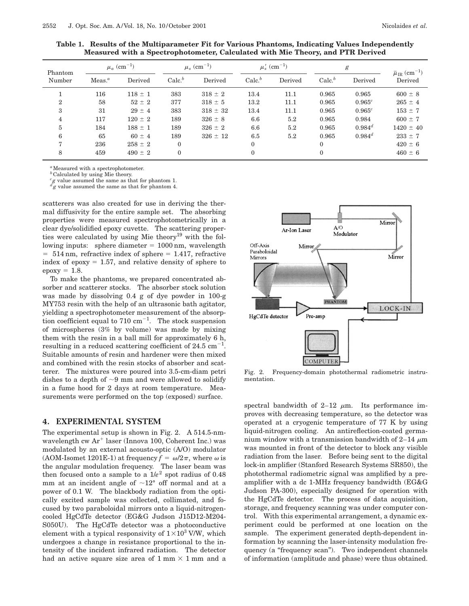| Phantom<br>Number | $\mu_a$ (cm <sup>-1</sup> ) |             | $\mu_s\ (\rm{cm}^{-1})$ |              | $\mu_s'$ (cm <sup>-1</sup> ) |         | g                 |             | $\bar{\mu}_{\rm IR}~({\rm cm}^{-1})$ |
|-------------------|-----------------------------|-------------|-------------------------|--------------|------------------------------|---------|-------------------|-------------|--------------------------------------|
|                   | Meas. <sup>a</sup>          | Derived     | Calc <sup>b</sup>       | Derived      | Calc <sup>b</sup>            | Derived | Calc <sup>b</sup> | Derived     | Derived                              |
|                   | 116                         | $118 \pm 1$ | 383                     | $318 \pm 2$  | 13.4                         | 11.1    | 0.965             | 0.965       | $600 \pm 8$                          |
| $\mathcal{D}_{1}$ | 58                          | $52 \pm 2$  | 377                     | $318 \pm 5$  | 13.2                         | 11.1    | 0.965             | $0.965^{c}$ | $265 \pm 4$                          |
| 3                 | 31                          | $29 \pm 4$  | 383                     | $318 \pm 32$ | 13.4                         | 11.1    | 0.965             | $0.965^{c}$ | $153 \pm 7$                          |
| 4                 | 117                         | $120 \pm 2$ | 189                     | $326 \pm 8$  | 6.6                          | 5.2     | 0.965             | 0.984       | $600 \pm 7$                          |
| 5                 | 184                         | $188 \pm 1$ | 189                     | $326 \pm 2$  | 6.6                          | 5.2     | 0.965             | $0.984^{d}$ | $1420 \pm 40$                        |
| 6                 | 65                          | $60 \pm 4$  | 189                     | $326 \pm 12$ | 6.5                          | 5.2     | 0.965             | $0.984^d$   | $233 \pm 7$                          |
|                   | 236                         | $258 \pm 2$ | $\theta$                |              | $\Omega$                     |         | $\Omega$          |             | $420 \pm 6$                          |
| 8                 | 459                         | $490 \pm 2$ | $\mathbf{0}$            |              | $\Omega$                     |         | $\mathbf{0}$      |             | $460 \pm 6$                          |

**Table 1. Results of the Multiparameter Fit for Various Phantoms, Indicating Values Independently Measured with a Spectrophotometer, Calculated with Mie Theory, and PTR Derived**

<sup>*a*</sup>Measured with a spectrophotometer.

<sup>*b*</sup>Calculated by using Mie theory.

*c g* value assumed the same as that for phantom 1.  $d_g$  value assumed the same as that for phantom 4.

scatterers was also created for use in deriving the thermal diffusivity for the entire sample set. The absorbing properties were measured spectrophotometrically in a clear dye/solidified epoxy cuvette. The scattering properties were calculated by using Mie theory<sup>19</sup> with the following inputs: sphere diameter  $= 1000$  nm, wavelength  $= 514$  nm, refractive index of sphere  $= 1.417$ , refractive index of epoxy  $= 1.57$ , and relative density of sphere to  $epoxy = 1.8.$ 

To make the phantoms, we prepared concentrated absorber and scatterer stocks. The absorber stock solution was made by dissolving 0.4 g of dye powder in 100-g MY753 resin with the help of an ultrasonic bath agitator, yielding a spectrophotometer measurement of the absorption coefficient equal to  $710 \text{ cm}^{-1}$ . The stock suspension of microspheres (3% by volume) was made by mixing them with the resin in a ball mill for approximately 6 h, resulting in a reduced scattering coefficient of 24.5  $\text{cm}^{-1}$ . Suitable amounts of resin and hardener were then mixed and combined with the resin stocks of absorber and scatterer. The mixtures were poured into 3.5-cm-diam petri dishes to a depth of  $\sim$ 9 mm and were allowed to solidify in a fume hood for 2 days at room temperature. Measurements were performed on the top (exposed) surface.

### **4. EXPERIMENTAL SYSTEM**

The experimental setup is shown in Fig. 2. A 514.5-nmwavelength cw  $Ar^+$  laser (Innova 100, Coherent Inc.) was modulated by an external acousto-optic (A/O) modulator (AOM-Isomet 1201E-1) at frequency  $f = \omega/2\pi$ , where  $\omega$  is the angular modulation frequency. The laser beam was then focused onto a sample to a  $1/e^2$  spot radius of 0.48 mm at an incident angle of  $\sim 12^{\circ}$  off normal and at a power of 0.1 W. The blackbody radiation from the optically excited sample was collected, collimated, and focused by two paraboloidal mirrors onto a liquid-nitrogencooled HgCdTe detector (EG&G Judson J15D12-M204- S050U). The HgCdTe detector was a photoconductive element with a typical responsivity of  $1\times10^3$  V/W, which undergoes a change in resistance proportional to the intensity of the incident infrared radiation. The detector had an active square size area of  $1 \text{ mm} \times 1 \text{ mm}$  and a



Fig. 2. Frequency-domain photothermal radiometric instrumentation.

spectral bandwidth of 2–12  $\mu$ m. Its performance improves with decreasing temperature, so the detector was operated at a cryogenic temperature of 77 K by using liquid-nitrogen cooling. An antireflection-coated germanium window with a transmission bandwidth of 2–14  $\mu$ m was mounted in front of the detector to block any visible radiation from the laser. Before being sent to the digital lock-in amplifier (Stanford Research Systems SR850), the photothermal radiometric signal was amplified by a preamplifier with a dc 1-MHz frequency bandwidth (EG&G Judson PA-300), especially designed for operation with the HgCdTe detector. The process of data acquisition, storage, and frequency scanning was under computer control. With this experimental arrangement, a dynamic experiment could be performed at one location on the sample. The experiment generated depth-dependent information by scanning the laser-intensity modulation frequency (a "frequency scan"). Two independent channels of information (amplitude and phase) were thus obtained.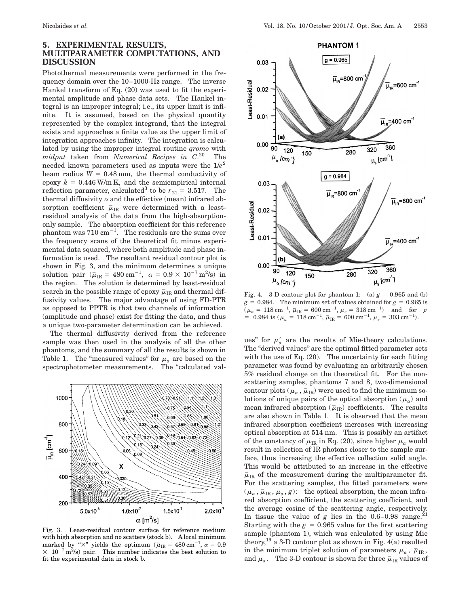## **5. EXPERIMENTAL RESULTS, MULTIPARAMETER COMPUTATIONS, AND DISCUSSION**

Photothermal measurements were performed in the frequency domain over the 10–1000-Hz range. The inverse Hankel transform of Eq. (20) was used to fit the experimental amplitude and phase data sets. The Hankel integral is an improper integral; i.e., its upper limit is infinite. It is assumed, based on the physical quantity represented by the complex integrand, that the integral exists and approaches a finite value as the upper limit of integration approaches infinity. The integration is calculated by using the improper integral routine *qromo* with *midpnt* taken from *Numerical Recipes in C*. <sup>20</sup> The needed known parameters used as inputs were the 1/*e*<sup>2</sup> beam radius  $W = 0.48$  mm, the thermal conductivity of epoxy  $k = 0.446$  W/m K, and the semiempirical internal reflection parameter, calculated<sup>3</sup> to be  $r_{21} = 3.517$ . The thermal diffusivity  $\alpha$  and the effective (mean) infrared absorption coefficient  $\bar{\mu}_{IR}$  were determined with a leastresidual analysis of the data from the high-absorptiononly sample. The absorption coefficient for this reference phantom was  $710$   $\mathrm{cm}^{-1}$ . The residuals are the sums over the frequency scans of the theoretical fit minus experimental data squared, where both amplitude and phase information is used. The resultant residual contour plot is shown in Fig. 3, and the minimum determines a unique solution pair  $(\bar{\mu}_{IR} = 480 \text{ cm}^{-1}, \alpha = 0.9 \times 10^{-7} \text{ m}^2/\text{s})$  in the region. The solution is determined by least-residual search in the possible range of epoxy  $\bar{\mu}_{IR}$  and thermal diffusivity values. The major advantage of using FD-PTR as opposed to PPTR is that two channels of information (amplitude and phase) exist for fitting the data, and thus a unique two-parameter determination can be achieved.

The thermal diffusivity derived from the reference sample was then used in the analysis of all the other phantoms, and the summary of all the results is shown in Table 1. The "measured values" for  $\mu_a$  are based on the spectrophotometer measurements. The "calculated val-



Fig. 3. Least-residual contour surface for reference medium with high absorption and no scatters (stock b). A local minimum marked by " $\times$ " yields the optimum ( $\bar{\mu}_{IR}$  = 480 cm<sup>-1</sup>,  $\alpha$  = 0.9  $\times$  10<sup>-7</sup> m<sup>2</sup>/s) pair. This number indicates the best solution to fit the experimental data in stock b.



Fig. 4. 3-D contour plot for phantom 1: (a)  $g = 0.965$  and (b)  $g = 0.984$ . The minimum set of values obtained for  $g = 0.965$  is  $(\mu_a = 118 \text{ cm}^{-1}, \bar{\mu}_\text{IR} = 600 \text{ cm}^{-1}, \mu_s = 318 \text{ cm}^{-1})$  and for *g*  $= 0.984$  is ( $\mu_a = 118$  cm<sup>-1</sup>,  $\bar{\mu}_{IR} = 600$  cm<sup>-1</sup>,  $\mu_s = 303$  cm<sup>-1</sup>).

ues" for  $\mu_s'$  are the results of Mie-theory calculations. The "derived values" are the optimal fitted parameter sets with the use of Eq. (20). The uncertainty for each fitting parameter was found by evaluating an arbitrarily chosen 5% residual change on the theoretical fit. For the nonscattering samples, phantoms 7 and 8, two-dimensional contour plots ( $\mu_a$ ,  $\bar{\mu}_{IR}$ ) were used to find the minimum solutions of unique pairs of the optical absorption  $(\mu_a)$  and mean infrared absorption  $(\bar{\boldsymbol\mu}_{\rm IR})$  coefficients. The results are also shown in Table 1. It is observed that the mean infrared absorption coefficient increases with increasing optical absorption at 514 nm. This is possibly an artifact of the constancy of  $\mu_{\text{IR}}$  in Eq. (20), since higher  $\mu_a$  would result in collection of IR photons closer to the sample surface, thus increasing the effective collection solid angle. This would be attributed to an increase in the effective  $\bar{\mu}_{IR}$  of the measurement during the multiparameter fit. For the scattering samples, the fitted parameters were  $(\mu_a, \bar{\mu}_R, \mu_s, g)$ : the optical absorption, the mean infrared absorption coefficient, the scattering coefficient, and the average cosine of the scattering angle, respectively. In tissue the value of  $g$  lies in the 0.6–0.98 range.<sup>21</sup> Starting with the  $g = 0.965$  value for the first scattering sample (phantom 1), which was calculated by using Mie theory,<sup>19</sup> a 3-D contour plot as shown in Fig.  $4(a)$  resulted in the minimum triplet solution of parameters  $\mu_a$ ,  $\bar{\mu}_{IR}$ , and  $\mu_s$ . The 3-D contour is shown for three  $\bar{\mu}_{IR}$  values of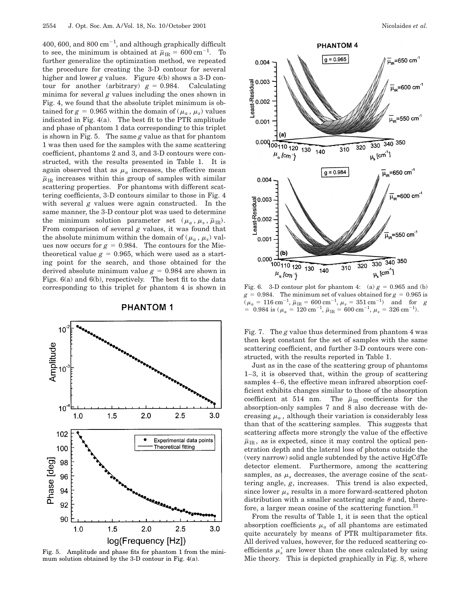400, 600, and 800  $\mathrm{cm}^{-1}$ , and although graphically difficult to see, the minimum is obtained at  $\mu_{IR} = 600 \text{ cm}^{-1}$ . To further generalize the optimization method, we repeated the procedure for creating the 3-D contour for several higher and lower *g* values. Figure 4(b) shows a 3-D contour for another (arbitrary)  $g = 0.984$ . Calculating minima for several *g* values including the ones shown in Fig. 4, we found that the absolute triplet minimum is obtained for  $g = 0.965$  within the domain of ( $\mu_a$ ,  $\mu_s$ ) values indicated in Fig. 4(a). The best fit to the PTR amplitude and phase of phantom 1 data corresponding to this triplet is shown in Fig. 5. The same *g* value as that for phantom 1 was then used for the samples with the same scattering coefficient, phantoms 2 and 3, and 3-D contours were constructed, with the results presented in Table 1. It is again observed that as  $\mu_a$  increases, the effective mean  $\bar{\mu}_{IR}$  increases within this group of samples with similar scattering properties. For phantoms with different scattering coefficients, 3-D contours similar to those in Fig. 4 with several *g* values were again constructed. In the same manner, the 3-D contour plot was used to determine the minimum solution parameter set  $(\mu_a, \mu_s, \bar{\mu}_{IR})$ . From comparison of several *g* values, it was found that the absolute minimum within the domain of  $(\mu_a, \mu_s)$  values now occurs for  $g = 0.984$ . The contours for the Mietheoretical value  $g = 0.965$ , which were used as a starting point for the search, and those obtained for the derived absolute minimum value  $g = 0.984$  are shown in Figs. 6(a) and 6(b), respectively. The best fit to the data corresponding to this triplet for phantom 4 is shown in

## **PHANTOM1**



Fig. 5. Amplitude and phase fits for phantom 1 from the minimum solution obtained by the 3-D contour in Fig. 4(a).



Fig. 6. 3-D contour plot for phantom 4: (a)  $g = 0.965$  and (b)  $g = 0.984$ . The minimum set of values obtained for  $g = 0.965$  is  $(\mu_a = 116 \text{ cm}^{-1}, \bar{\mu}_\text{IR} = 600 \text{ cm}^{-1}, \mu_s = 351 \text{ cm}^{-1})$  and for *g*  $= 0.984$  is ( $\mu_a = 120$  cm<sup>-1</sup>,  $\bar{\mu}_{IR} = 600$  cm<sup>-1</sup>,  $\mu_s = 326$  cm<sup>-1</sup>).

Fig. 7. The *g* value thus determined from phantom 4 was then kept constant for the set of samples with the same scattering coefficient, and further 3-D contours were constructed, with the results reported in Table 1.

Just as in the case of the scattering group of phantoms 1–3, it is observed that, within the group of scattering samples 4–6, the effective mean infrared absorption coefficient exhibits changes similar to those of the absorption coefficient at 514 nm. The  $\bar{\mu}_{IR}$  coefficients for the absorption-only samples 7 and 8 also decrease with decreasing  $\mu_a$ , although their variation is considerably less than that of the scattering samples. This suggests that scattering affects more strongly the value of the effective  $\bar{\mu}_{IR}$ , as is expected, since it may control the optical penetration depth and the lateral loss of photons outside the (very narrow) solid angle subtended by the active HgCdTe detector element. Furthermore, among the scattering samples, as  $\mu_s$  decreases, the average cosine of the scattering angle, *g*, increases. This trend is also expected, since lower  $\mu_s$  results in a more forward-scattered photon distribution with a smaller scattering angle  $\theta$  and, therefore, a larger mean cosine of the scattering function. $^{21}$ 

From the results of Table 1, it is seen that the optical absorption coefficients  $\mu_a$  of all phantoms are estimated quite accurately by means of PTR multiparameter fits. All derived values, however, for the reduced scattering coefficients  $\mu_s'$  are lower than the ones calculated by using Mie theory. This is depicted graphically in Fig. 8, where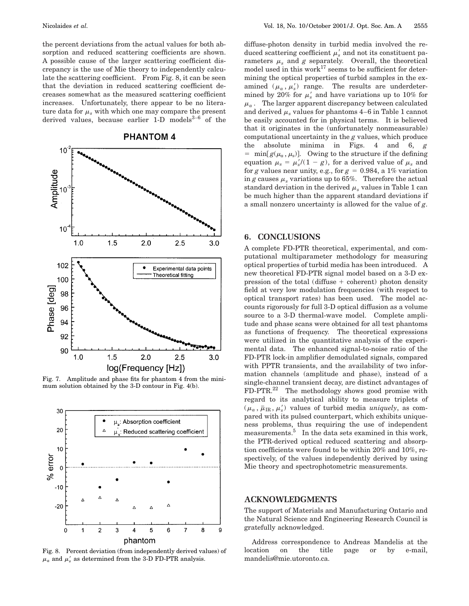the percent deviations from the actual values for both absorption and reduced scattering coefficients are shown. A possible cause of the larger scattering coefficient discrepancy is the use of Mie theory to independently calculate the scattering coefficient. From Fig. 8, it can be seen that the deviation in reduced scattering coefficient decreases somewhat as the measured scattering coefficient increases. Unfortunately, there appear to be no literature data for  $\mu_s$  with which one may compare the present derived values, because earlier 1-D models $3-6$  of the



Fig. 7. Amplitude and phase fits for phantom 4 from the minimum solution obtained by the 3-D contour in Fig. 4(b).



Fig. 8. Percent deviation (from independently derived values) of  $\mu_a$  and  $\mu_s'$  as determined from the 3-D FD-PTR analysis.

diffuse-photon density in turbid media involved the reduced scattering coefficient  $\mu_s'$  and not its constituent parameters  $\mu_s$  and  $g$  separately. Overall, the theoretical model used in this work $^{17}$  seems to be sufficient for determining the optical properties of turbid samples in the examined  $(\mu_a, \mu_s)$  range. The results are underdetermined by 20% for  $\mu_s'$  and have variations up to 10% for  $\mu_a$ . The larger apparent discrepancy between calculated and derived  $\mu_s$  values for phantoms 4–6 in Table 1 cannot be easily accounted for in physical terms. It is believed that it originates in the (unfortunately nonmeasurable) computational uncertainty in the *g* values, which produce the absolute minima in Figs. 4 and 6, *g*  $\begin{bmatrix} = \min[g(\mu_a, \mu_s)] \end{bmatrix}$ . Owing to the structure if the defining equation  $\mu_s = \mu_s'/(1 - g)$ , for a derived value of  $\mu_s$  and for *g* values near unity, e.g., for  $g = 0.984$ , a 1% variation in *g* causes  $\mu$ , variations up to 65%. Therefore the actual standard deviation in the derived  $\mu_s$  values in Table 1 can be much higher than the apparent standard deviations if a small nonzero uncertainty is allowed for the value of *g*.

# **6. CONCLUSIONS**

A complete FD-PTR theoretical, experimental, and computational multiparameter methodology for measuring optical properties of turbid media has been introduced. A new theoretical FD-PTR signal model based on a 3-D expression of the total (diffuse  $+$  coherent) photon density field at very low modulation frequencies (with respect to optical transport rates) has been used. The model accounts rigorously for full 3-D optical diffusion as a volume source to a 3-D thermal-wave model. Complete amplitude and phase scans were obtained for all test phantoms as functions of frequency. The theoretical expressions were utilized in the quantitative analysis of the experimental data. The enhanced signal-to-noise ratio of the FD-PTR lock-in amplifier demodulated signals, compared with PPTR transients, and the availability of two information channels (amplitude and phase), instead of a single-channel transient decay, are distinct advantages of FD-PTR.22 The methodology shows good promise with regard to its analytical ability to measure triplets of  $(\mu_a, \bar{\mu}_{IR}, \mu_s)$  values of turbid media *uniquely*, as compared with its pulsed counterpart, which exhibits uniqueness problems, thus requiring the use of independent measurements.<sup>5</sup> In the data sets examined in this work, the PTR-derived optical reduced scattering and absorption coefficients were found to be within 20% and 10%, respectively, of the values independently derived by using Mie theory and spectrophotometric measurements.

#### **ACKNOWLEDGMENTS**

The support of Materials and Manufacturing Ontario and the Natural Science and Engineering Research Council is gratefully acknowledged.

Address correspondence to Andreas Mandelis at the location on the title page or by e-mail, mandelis@mie.utoronto.ca.